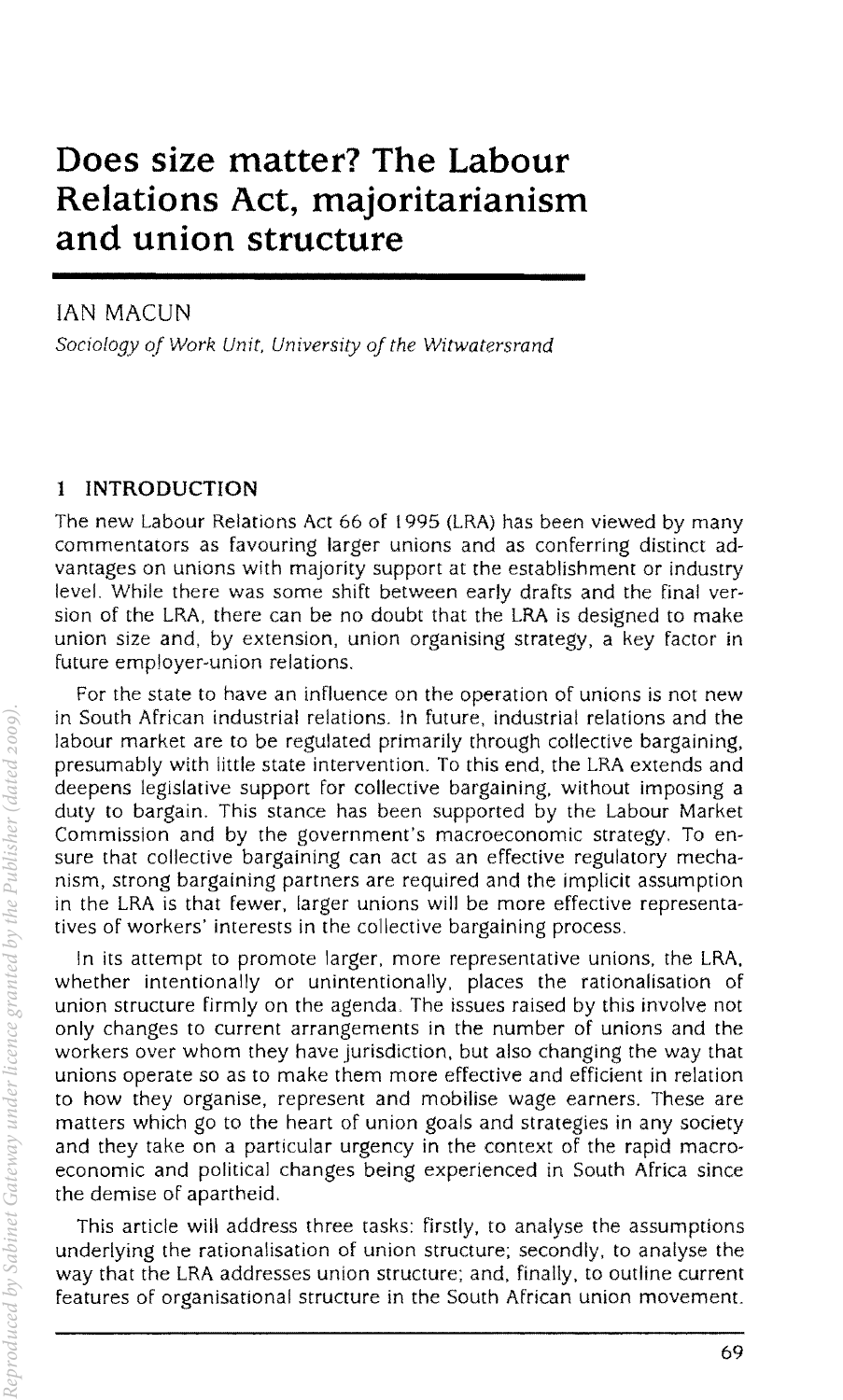# **Does size matter? The Labour Relations Act, majoritarianism and union structure**

### IAN MACUN

*Sociology oj Work Unit, University oj the Witwatersrand* 

## **1 INTRODUCTION**

The new Labour Relations Act 66 of 1995 (LRA) has been viewed by many commentators as favouring larger unions and as conferring distinct advantages on unions with majority support at the establishment or industry level. While there was some shift between early drafts and the final version of the LRA, there can be no doubt that the LRA is designed to make union size and, by extension. union organising strategy, a key factor in future employer-union relations.

For the state to have an influence on the operation of unions is not new in South African industrial relations. In future, industrial relations and the labour market are to be regulated primarily through collective bargaining, presumably with little state intervention. To this end, the LRA extends and deepens legislative support for collective bargaining, without imposing a duty to bargain. This stance has been supported by the Labour Market Commission and by the government's macroeconomic strategy. To ensure that collective bargaining can act as an effective regulatory mechanism, strong bargaining partners are required and the implicit assumption in the LRA is that fewer. larger unions will be more effective representatives of workers' interests in the collective bargaining process.

In its attempt to promote larger, more representative unions, the LRA, whether intentionally or unintentionally, places the rationalisation of union structure firmly on the agenda. The issues raised by this involve not only changes to current arrangements in the number of unions and the workers over whom they have jurisdiction, but also changing the way that unions operate so as to make them more effective and efficient in relation to how they organise, represent and mobilise wage earners. These are matters which go to the heart of union goals and strategies in any society and they take on a particular urgency in the context of the rapid macroeconomic and political changes being experienced in South Africa since the demise of apartheid.

This article will address three tasks: firstly, to analyse the assumptions underlying the rationalisation of union structure; secondly, to analyse the way that the LRA addresses union structure; and, finally. to outline current features of organisational structure in the South African union movement.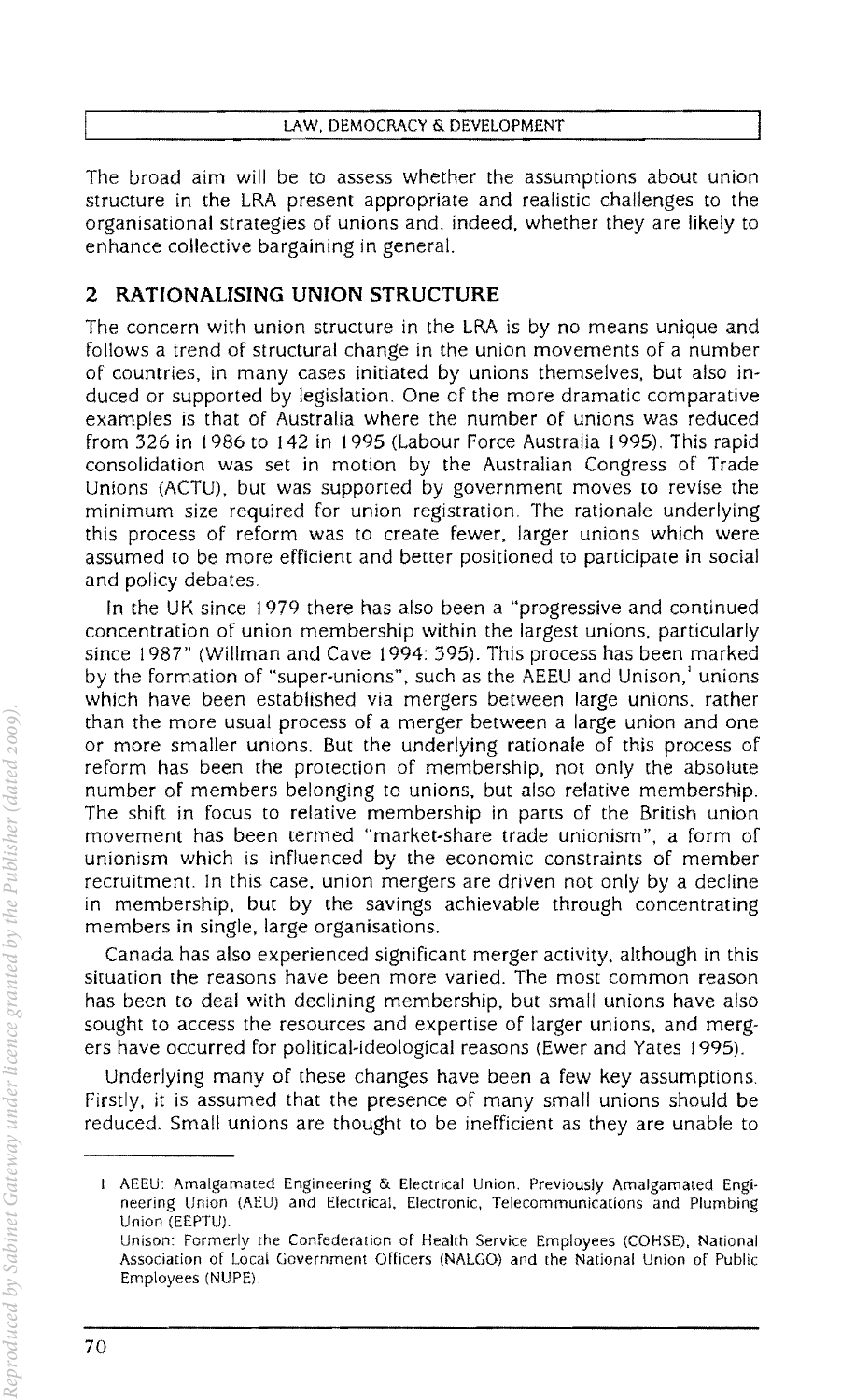The broad aim will be to assess whether the assumptions about union structure in the LRA present appropriate and realistic challenges to the organisational strategies of unions and, indeed, whether they are likely to enhance collective bargaining in general.

## 2 **RATIONALISING UNION STRUCTURE**

The concern with union structure in the LRA is by no means unique and follows a trend of structural change in the union movements of a number of countries, in many cases initiated by unions themselves, but also induced or supported by legislation. One of the more dramatic comparative examples is that of Australia where the number of unions was reduced from 326 in 1986 to 142 in 1995 (Labour Force Australia 1995). This rapid consolidation was set in motion by the Australian Congress of Trade Unions (ACTU), but was supported by government moves to revise the minimum size required for union registration. The rationale underlying this process of reform was to create fewer, larger unions which were assumed to be more efficient and better positioned to participate in social and policy debates.

In the UK since 1979 there has also been a "progressive and continued concentration of union membership within the largest unions, particularly since 1987" (Willman and Cave 1994: 395). This process has been marked by the formation of "super-unions", such as the AEEU and Unison,' unions which have been established via mergers between large unions, rather than the more usual process of a merger between a large union and one or more smaller unions. But the underlying rationale of this process of reform has been the protection of membership, not only the absolute number of members belonging to unions, but also relative membership. The shift in focus to relative membership in parts of the British union movement has been termed "market-share trade unionism", a form of unionism which is influenced by the economic constraints of member recruitment. In this case, union mergers are driven not only by a decline in membership, but by the savings achievable through concentrating members in single, large organisations.

Canada has also experienced significant merger activity, although in this situation the reasons have been more varied. The most common reason has been to deal with declining membership, but small unions have also sought to access the resources and expertise of larger unions, and mergers have occurred for political-ideological reasons (Ewer and Yates 1995).

Underlying many of these changes have been a few key assumptions. Firstly, it is assumed that the presence of many small unions should be reduced. Small unions are thought to be inefficient as they are unable to

I AEEU: Amalgamated Engineering & Electrical Union. Previously Amalgamated Engineering Union (AEU) and Electrical. Electronic, Telecommunications and Plumbing Union (EEPTU)

Unison: Formerly the Confederation of Health Service Employees (COHSE), National Association of Local Government Officers (NALGO) and the National Union of Public Employees (NUPE)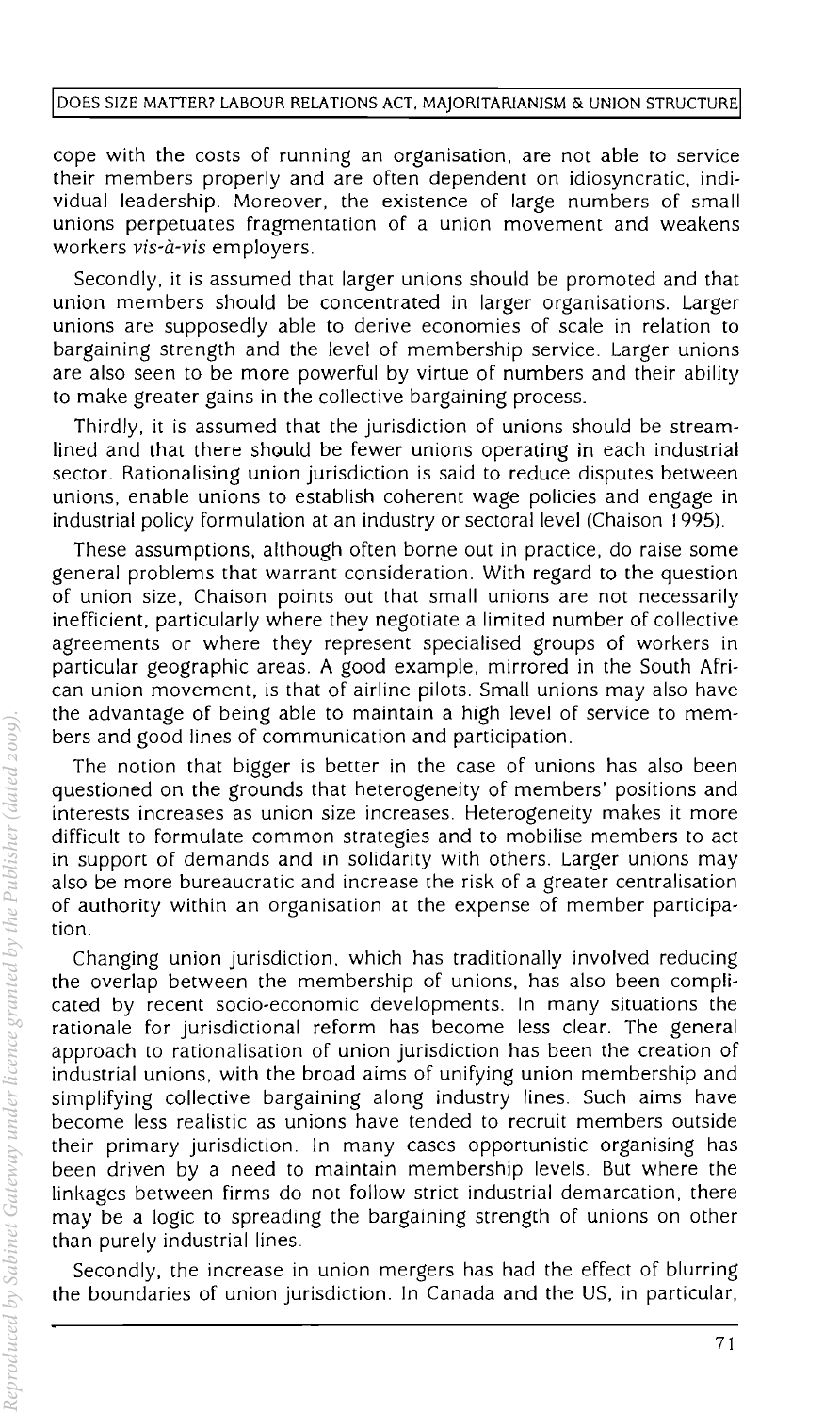cope with the costs of running an organisation. are not able to service their members properly and are often dependent on idiosyncratic, individual leadership. Moreover. the existence of large numbers of small unions perpetuates fragmentation of a union movement and weakens workers *vis-a-vis* employers.

Secondly. it is assumed that larger unions should be promoted and that union members should be concentrated in larger organisations. Larger unions are supposedly able to derive economies of scale in relation to bargaining strength and the level of membership service. Larger unions are also seen to be more powerful by virtue of numbers and their ability to make greater gains in the collective bargaining process.

Thirdly. it is assumed that the jurisdiction of unions should be streamlined and that there should be fewer unions operating in each industrial sector. Rationalising union jurisdiction is said to reduce disputes between unions. enable unions to establish coherent wage policies and engage in industrial policy formulation at an industry or sectoral level (Chaison 1995).

These assumptions, although often borne out in practice. do raise some general problems that warrant consideration. With regard to the question of union size, Chaison points out that small unions are not necessarily inefficient. particularly where they negotiate a limited number of collective agreements or where they represent specialised groups of workers in particular geographic areas. A good example. mirrored in the South African union movement, is that of airline pilots. Small unions may also have the advantage of being able to maintain a high level of service to members and good lines of communication and participation.

The notion that bigger is better in the case of unions has also been questioned on the grounds that heterogeneity of members' positions and interests increases as union size increases. Heterogeneity makes it more difficult to formulate common strategies and to mobilise members to act in support of demands and in solidarity with others. Larger unions may also be more bureaucratic and increase the risk of a greater centralisation of authority within an organisation at the expense of member participation.

Changing union jurisdiction. which has traditionally involved reducing the overlap between the membership of unions, has also been complicated by recent socio-economic developments. In many situations the rationale for jurisdictional reform has become less clear. The general approach to rationalisation of union jurisdiction has been the creation of industrial unions, with the broad aims of unifying union membership and simplifying collective bargaining along industry lines. Such aims have become less realistic as unions have tended to recruit members outside their primary jurisdiction. In many cases opportunistic organising has been driven by a need to maintain membership levels. But where the linkages between firms do not follow strict industrial demarcation. there may be a logic to spreading the bargaining strength of unions on other than purely industrial lines.

Secondly. the increase in union mergers has had the effect of blurring the boundaries of union jurisdiction. In Canada and the US, in particular.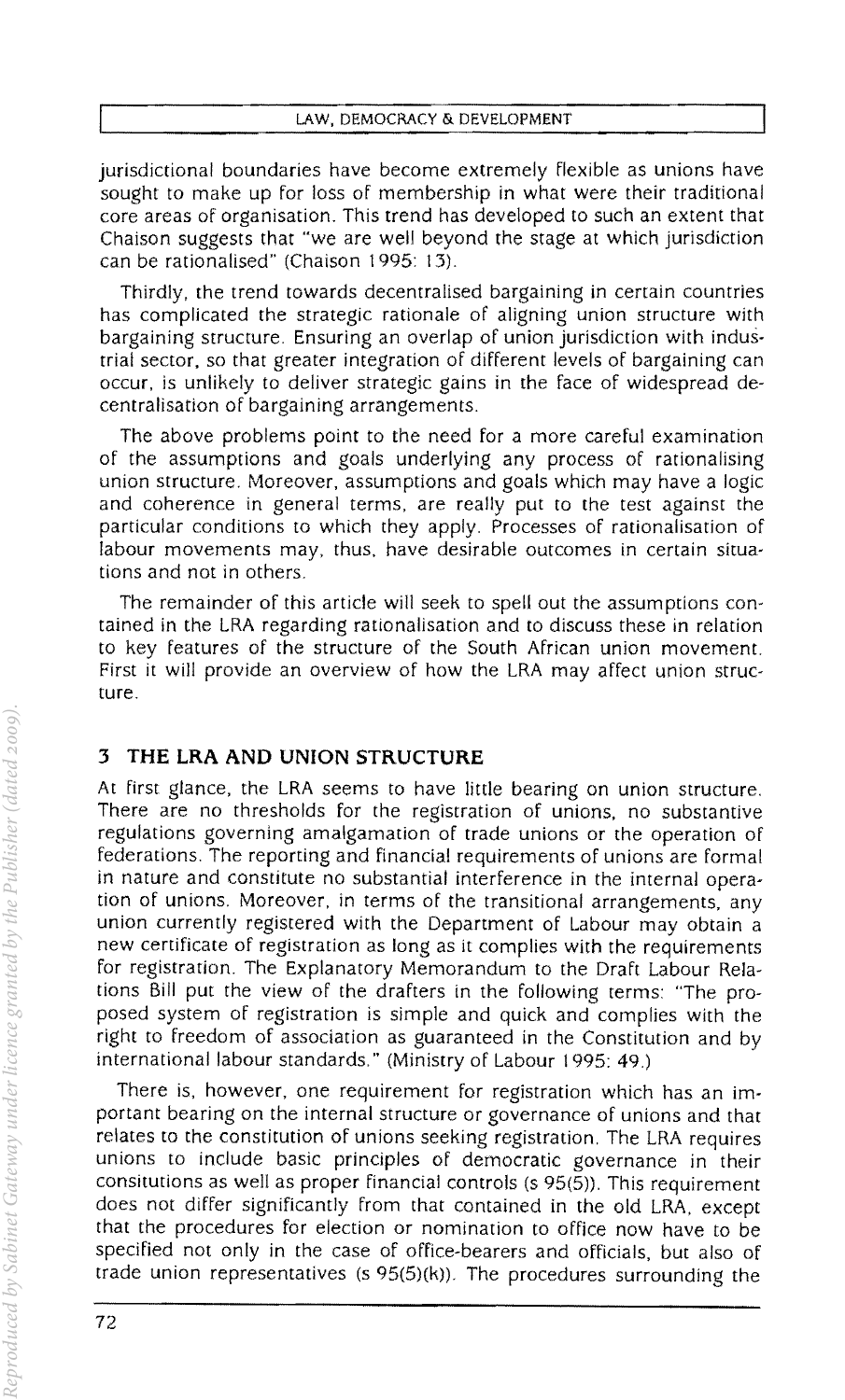jurisdictional boundaries have become extremely flexible as unions have sought to make up for loss of membership in what were their traditional core areas of organisation. This trend has developed to such an extent that Chaison suggests that "we are well beyond the stage at which jurisdiction can be rationalised" (Chaison 1995: 13).

Thirdly, the trend towards decentralised bargaining in certain countries has complicated the strategic rationale of aligning union structure with bargaining structure. Ensuring an overlap of union jurisdiction with industrial sector, so that greater integration of different levels of bargaining can occur, is unlikely to deliver strategic gains in the face of widespread decentralisation of bargaining arrangements.

The above problems point to the need for a more careful examination of the assumptions and goals underlying any process of rationalising union structure. Moreover, assumptions and goals which may have a logic and coherence in general terms, are really put to the test against the particular conditions to which they apply. Processes of rationalisation of labour movements may, thus, have desirable outcomes in certain situations and not in others.

The remainder of this article will seek to spell out the assumptions contained in the LRA regarding rationalisation and to discuss these in relation to key features of the structure of the South African union movement. First it will provide an overview of how the LRA may affect union structure.

## **3 THE LRA AND UNION STRUCTURE**

At first glance, the LRA seems to have little bearing on union structure. There are no thresholds for the registration of unions, no substantive regulations governing amalgamation of trade unions or the operation of federations. The reporting and financial requirements of unions are formal in nature and constitute no substantial interference in the internal operation of unions. Moreover, in terms of the transitional arrangements, any union currently registered with the Department of Labour may obtain a new certificate of registration as long as it complies with the requirements for registration. The Explanatory Memorandum to the Draft Labour Relations Bill put the view of the drafters in the following terms: "The proposed system of registration is simple and quick and complies with the right to freedom of association as guaranteed in the Constitution and by international labour standards." (Ministry of Labour 1995: 49.)

There is, however, one requirement for registration which has an important bearing on the internal structure or governance of unions and that relates to the constitution of unions seeking registration. The LRA requires unions to include basic principles of democratic governance in their consitutions as well as proper financial controls (s 95(5)). This requirement does not differ significantly from that contained in the old LRA, except that the procedures for election or nomination to office now have to be specified not only in the case of office-bearers and officials, but also of trade union representatives (s 95(5)(k)). The procedures surrounding the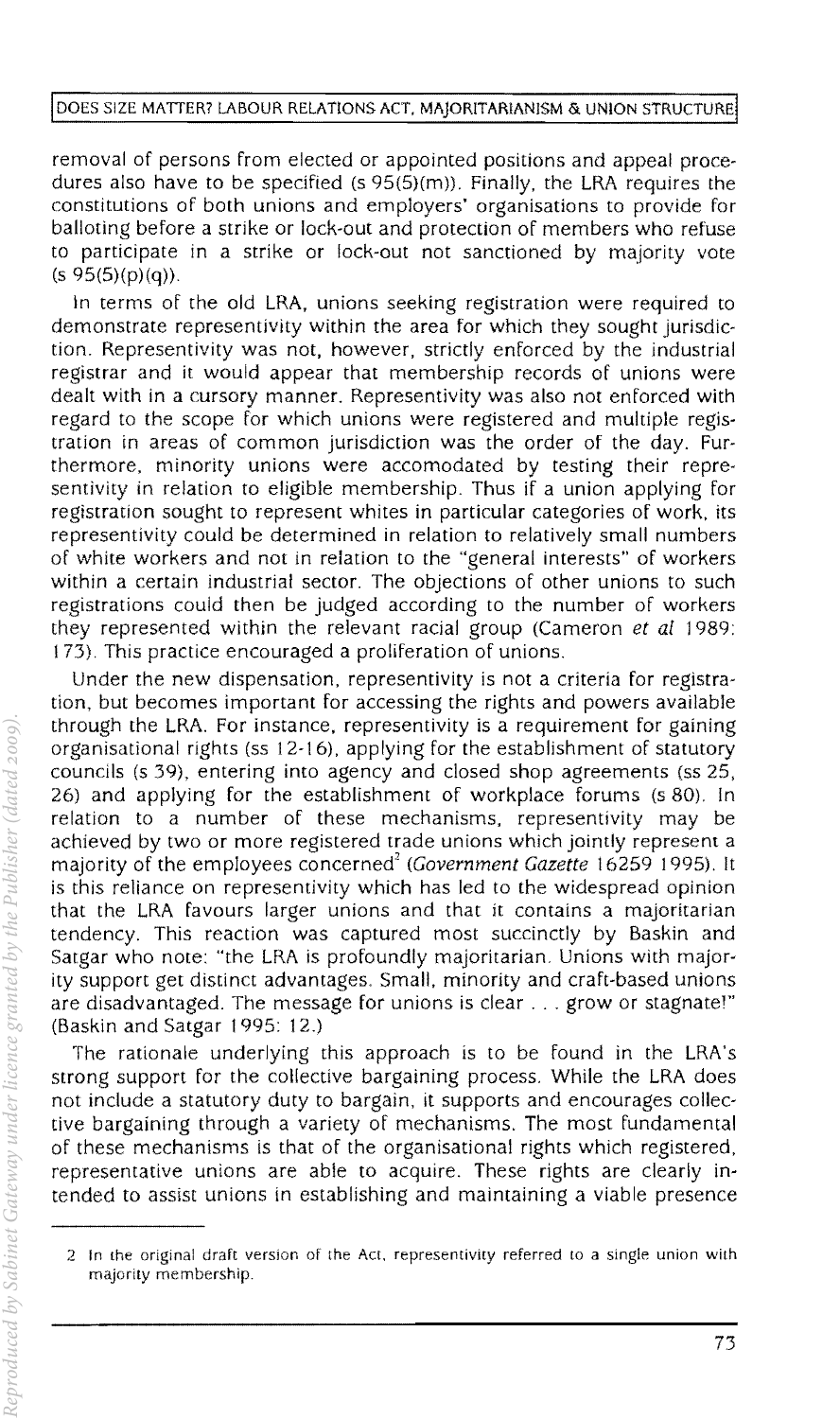removal of persons from elected or appointed positions and appeal procedures also have to be specified (s  $95(5)(m)$ ). Finally, the LRA requires the constitutions of both unions and employers' organisations to provide for balloting before a strike or lock-out and protection of members who refuse to participate in a strike or lock-out not sanctioned by majority vote  $(s 95(5)(p)(q)).$ 

In terms of the old LRA, unions seeking registration were required to demonstrate representivity within the area for which they sought jurisdiction. Representivity was not. however. strictly enforced by the industrial registrar and it would appear that membership records of unions were dealt with in a cursory manner. Representivity was also not enforced with regard to the scope for which unions were registered and multiple registration in areas of common jurisdiction was the order of the day. Furthermore. minority unions were accomodated by testing their representivity in relation to eligible membership. Thus if a union applying for registration sought to represent whites in particular categories of work. its representivity could be determined in relation to relatively small numbers of white workers and not in relation to the "general interests" of workers within a certain industrial sector. The objections of other unions to such registrations could then be judged according to the number of workers they represented within the relevant racial group (Cameron et al 1989: t 73). This practice encouraged a proliferation of unions.

Under the new dispensation. representivity is not a criteria for registration, but becomes important for accessing the rights and powers available through the LRA. For instance, representivity is a requirement for gaining organisational rights (ss 12-16), applying for the establishment of statutory councils (s 39), entering into agency and closed shop agreements (ss 25, 26) and applying for the establishment of workplace forums (s 80). In relation to a number of these mechanisms. representivity may be achieved by two or more registered trade unions which jointly represent a majority of the employees concerned<sup>2</sup> (Government Gazette 16259 1995). It is this reliance on representivity which has led to the widespread opinion that the LRA favours larger unions and that it contains a majoritarian tendency. This reaction was captured most succinctly by Baskin and Satgar who note: "the LRA is profoundly majoritarian. Unions with majority support get distinct advantages. Small, minority and craft-based unions are disadvantaged. The message for unions is clear ... grow or stagnate'" (Baskin and Satgar 1995: 12.)

The rationale underlying this approach is to be found in the LRA's strong support for the collective bargaining process. While the LRA does not include a statutory duty to bargain, it supports and encourages collective bargaining through a variety of mechanisms. The most fundamental of these mechanisms is that of the organisational rights which registered, representative unions are able to acquire. These rights are clearly intended to assist unions in establishing and maintaining a viable presence

<sup>2</sup> In the original draft version of the Act, representivity referred to a single union with majority membership.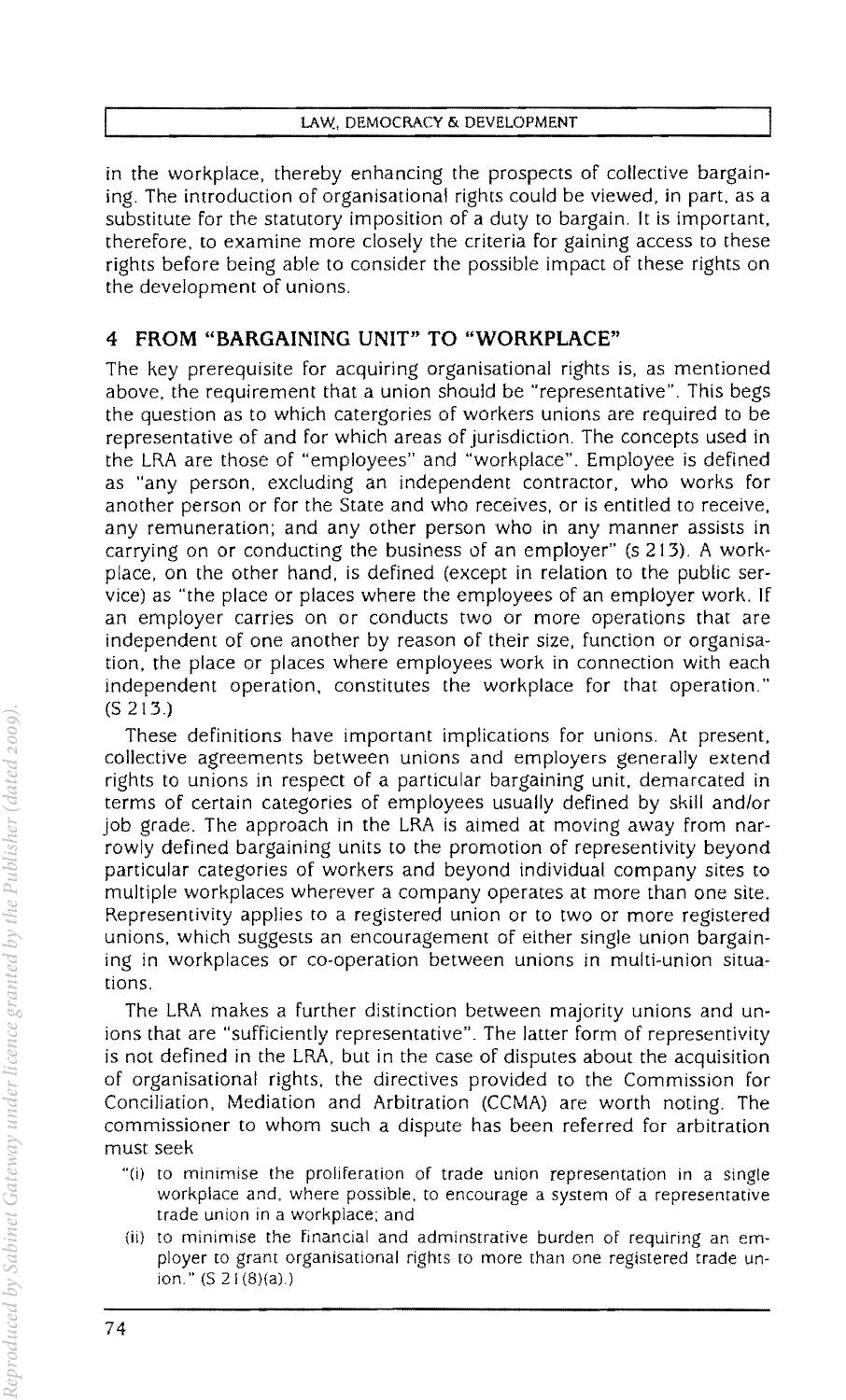in the workplace, thereby enhancing the prospects of collective bargaining. The introduction of organisational rights could be viewed, in part, as a substitute for the statutory imposition of a duty to bargain. It is important, therefore, to examine more closely the criteria for gaining access to these rights before being able to consider the possible impact of these rights on the development of unions.

## **4 FROM "BARGAINING UNIT" TO "WORKPLACE"**

The key prerequisite for acquiring organisational rights is, as mentioned above, the requirement that a union should be "representative". This begs the question as to which catergories of workers unions are required to be representative of and for which areas of jurisdiction. The concepts used in the LRA are those of "employees" and "workplace". Employee is defined as "any person, excluding an independent contractor, who works for another person or for the State and who receives, or is entitled to receive, any remuneration; and any other person who in any manner assists in carrying on or conducting the business of an employer" (s 213). A workplace, on the other hand, is defined (except in relation to the public service) as "the place or places where the employees of an employer work. If an employer carries on or conducts two or more operations that are independent of one another by reason of their size, function or organisation, the place or places where employees work in connection with each independent operation, constitutes the workplace for that operation." (5213.)

These definitions have important implications for unions. At present, collective agreements between unions and employers generally extend rights to unions in respect of a particular bargaining unit, demarcated in terms of certain categories of employees usually defined by skill and/or job grade. The approach in the LRA is aimed at moving away from narrowly defined bargaining units to the promotion of representivity beyond particular categories of workers and beyond individual company sites to multiple workplaces wherever a company operates at more than one site. Representivity applies to a registered union or to two or more registered unions, which suggests an encouragement of either single union bargaining in workplaces or co-operation between unions in multi-union situations.

The LRA makes a further distinction between majority unions and unions that are "sufficiently representative". The latter form of representivity is not defined in the LRA, but in the case of disputes about the acquisition of organisational rights, the directives provided to the Commission for Conciliation, Mediation and Arbitration (CCMA) are worth noting. The commissioner to whom such a dispute has been referred for arbitration must seek

- "{il to minimise the proliferation of trade union representation in a single workplace and. where possible, to encourage a system of a representative trade union in a workplace; and
- (ii) to minimise the financial and adminstrative burden of requiring an employer to grant organisational rights to more than one registered trade union." (S 21(8)(a).)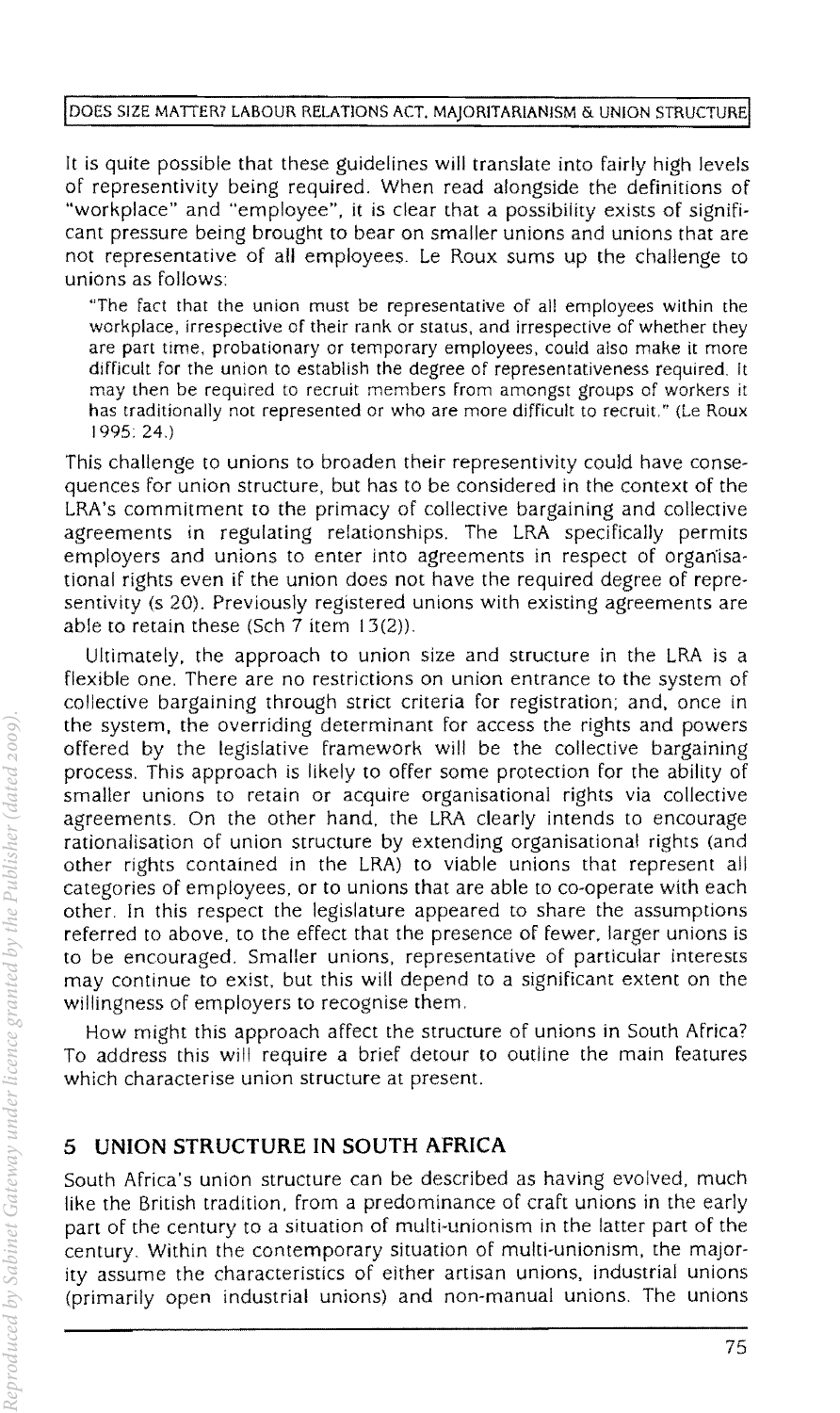#### DOES SIZE MATTER? LABOUR RELATIONS ACT, MAJORITARIANISM & UNION STRUCTURE

It is quite possible that these guidelines will translate into fairly high levels of representivity being required. When read alongside the definitions of "workplace" and "employee". it is clear that a possibility exists of significant pressure being brought to bear on smaller unions and unions that are not representative of all employees. Le Roux sums up the challenge to unions as follows:

"The fact that the union must be representative of all employees within the workplace, irrespective of their rank or status, and irrespective of whether they are part time. probationary or temporary employees, could also make it more difficult for the union to establish the degree of representativeness required. It may then be required to recruit members from amongst groups of workers it has traditionally not represented or who are more difficult to recruit." (Le Roux 1995 24.)

This challenge to unions to broaden their representivity could have consequences for union structure, but has to be considered in the context of the LRA's commitment to the primacy of collective bargaining and collective agreements in regulating relationships. The LRA specifically permits employers and unions to enter into agreements in respect of orgariisational rights even if the union does not have the required degree of representivity (s 20). Previously registered unions with existing agreements are able to retain these (Sch 7 item 13(2)).

Ultimately. the approach to union size and structure in the LRA is a flexible one. There are no restrictions on union entrance to the system of collective bargaining through strict criteria for registration; and. once in the system. the overriding determinant for access the rights and powers offered by the legislative framework will be the collective bargaining process. This approach is likely to offer some protection for the ability of smaller unions to retain or acquire organisational rights via collective agreements. On the other hand, the LRA clearly intends to encourage rationalisation of union structure by extending organisational rights (and other rights contained in the LRA) to viable unions that represent all categories of employees, or to unions that are able to co-operate with each other. In this respect the legislature appeared to share the assumptions referred to above, to the effect that the presence of fewer, larger unions is to be encouraged. Smaller unions. representative of particular interests may continue to exist, but this will depend to a significant extent on the willingness of employers to recognise them.

How might this approach affect the structure of unions in South Africa? To address this will require a brief detour to outline the main features which characterise union structure at present.

## **5 UNION STRUCTURE IN SOUTH AFRICA**

South Africa's union structure can be described as having evolved. much like the British tradition, from a predominance of craft unions in the early part of the century to a situation of multi-unionism in the latter part of the century. Within the contemporary situation of multi-unionism. the majority assume the characteristics of either artisan unions, industrial unions (primarily open industrial unions) and non-manual unions. The unions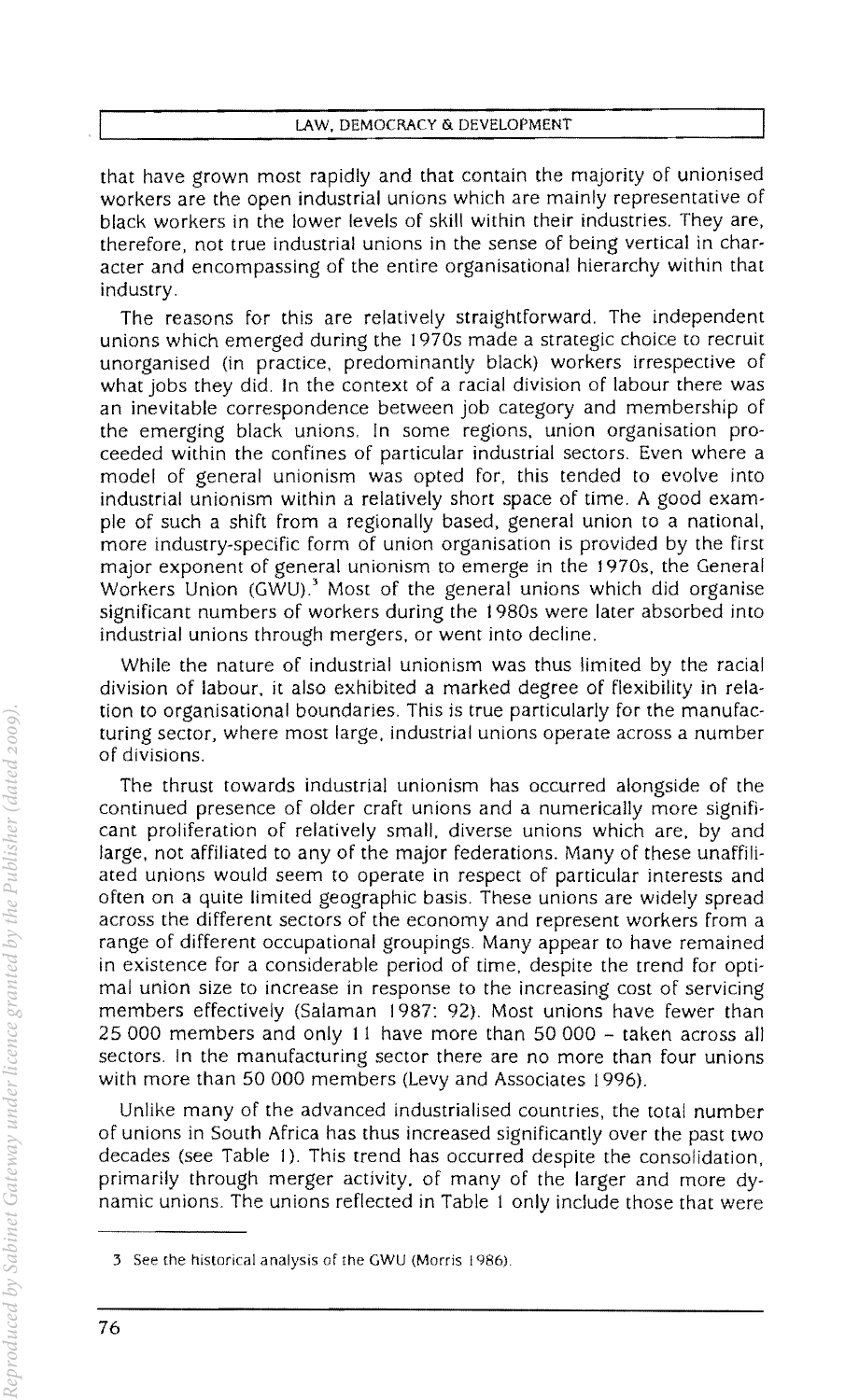that have grown most rapidly and that contain the majority of unionised workers are the open industrial unions which are mainly representative of black workers in the lower levels of skill within their industries. They are, therefore, not true industrial unions in the sense of being vertical in character and encompassing of the entire organisational hierarchy within that industry.

The reasons for this are relatively straightforward. The independent unions which emerged during the 1970s made a strategic choice to recruit unorganised (in practice, predominantly black) workers irrespective of what jobs they did. In the context of a racial division of labour there was an inevitable correspondence between job category and membership of the emerging black unions. In some regions. union organisation proceeded within the confines of particular industrial sectors. Even where a model of general unionism was opted for, this tended to evolve into industrial unionism within a relatively short space of time. A good example of such a shift from a regionally based, general union to a national, more industry-specific form of union organisation is provided by the first major exponent of general unionism to emerge in the 1970s, the General Workers Union (GWU).' Most of the general unions which did organise Significant numbers of workers during the 1980s were later absorbed into industrial unions through mergers, or went into decline.

While the nature of industrial unionism was thus limited by the racial division of labour, it also exhibited a marked degree of flexibility in relation to organisational boundaries. This is true particularly for the manufacturing sector, where most large, industrial unions operate across a number of divisions.

The thrust towards industrial unionism has occurred alongside of the continued presence of older craft unions and a numerically more significant proliferation of relatively small, diverse unions which are, by and large, not affiliated to any of the major federations. Many of these unaffiliated unions would seem to operate in respect of particular interests and often on a quite limited geographic basis. These unions are widely spread across the different sectors of the economy and represent workers from a range of different occupational groupings. Many appear to have remained in existence for a considerable period of time, despite the trend for optimal union size to increase in response to the increasing cost of servicing members effectively (Salaman 1987: 92). Most unions have fewer than 25000 members and only 11 have more than 50000 - taken across all sectors. In the manufacturing sector there are no more than four unions with more than 50 000 members (Levy and Associates 1996).

Unlike many of the advanced industrialised countries, the total number of unions in South Africa has thus increased significantly over the past two decades (see Table 1). This trend has occurred despite the consolidation, primarily through merger activity, of many of the larger and more dynamic unions. The unions reflected in Table 1 only include those that were

<sup>3</sup> See the historical analysis of the GWU (Morris 1986).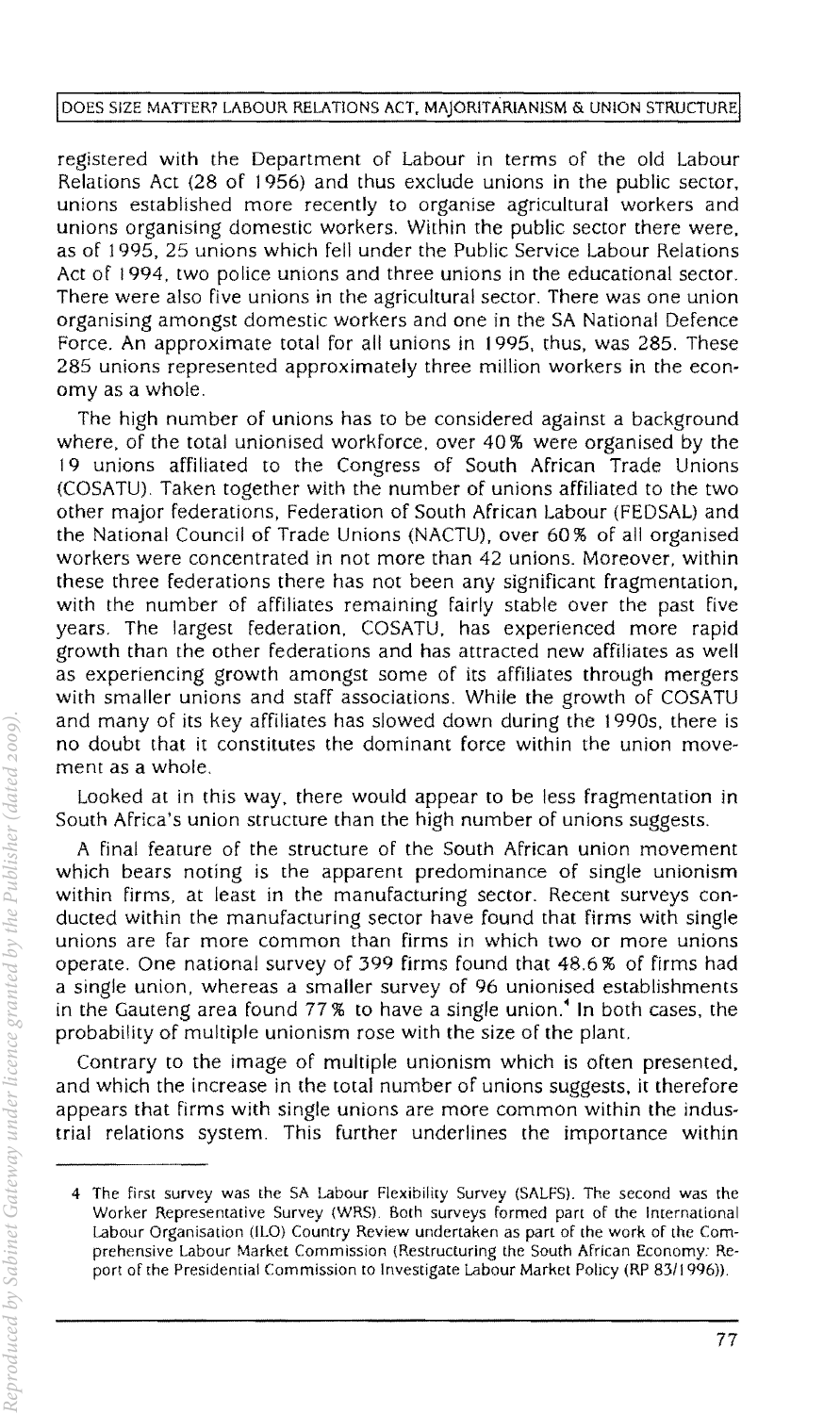registered with the Department of Labour in terms of the old Labour Relations Act (28 of 1956) and thus exclude unions **in** the public sector, unions established more recently to organise agricultural workers and unions organising domestic workers. Within the public sector there were, as of 1995, 25 unions which fell under the Public Service Labour Relations Act of 1994, two police unions and three unions in the educational sector. There were also five unions in the agricultural sector. There was one union organising amongst domestic workers and one in the SA National Defence Force. An approximate total for all unions in 1995, thus, was 285. These 285 unions represented approximately three million workers in the economy as a whole.

The high number of unions has to be considered against a background where, of the total unionised workforce. over 40 % were organised by the 19 unions affiliated to the Congress of South African Trade Unions (COSATU) Taken together with the number of unions affiliated to the two other major federations, Federation of South African Labour (FEDSAL) and the National Council of Trade Unions (NACTU), over 60% of all organised workers were concentrated in not more than 42 unions. Moreover, within these three federations there has not been any significant fragmentation, with the number of affiliates remaining fairly stable over the past five years. The largest federation, COSATU. has experienced more rapid growth than the other federations and has attracted new affiliates as well as experiencing growth amongst some of its affiliates through mergers with smaller unions and staff associations. While the growth of COSATU and many of its key affiliates has slowed down during the 1990s, there is no doubt that it constitutes the dominant force within the union movement as a whole.

Looked at in this way, there would appear to be less fragmentation in South Africa's union structure than the high number of unions suggests.

A final feature of the structure of the South African union movement which bears noting is the apparent predominance of single unionism within firms, at least in the manufacturing sector. Recent surveys conducted within the manufacturing sector have found that firms with single unions are far more common than firms in which two or more unions operate. One national survey of 399 firms found that 48.6 % of firms had a single union, whereas a smaller survey of 96 unionised establishments in the Gauteng area found 77 % to have a single union.· **In** both cases, the probability of multiple unionism rose with the size of the plant.

Contrary to the image of multiple unionism which is often presented, and which the increase in the total number of unions suggests, it therefore appears that firms with single unions are more common within the industrial relations system. This further underlines the importance within

<sup>4</sup> The first survey was the SA Labour Flexibility Survey (SALFS). The second was the Worker Representative Survey (WRS). Both surveys formed part of the International Labour Organisation (ILO) Country Review undertaken as part of the work of the Comprehensive Labour Market Commission (Restructuring the South African Economy: Report of the Presidential Commission to Investigate Labour Market Policy (RP *83/1996».*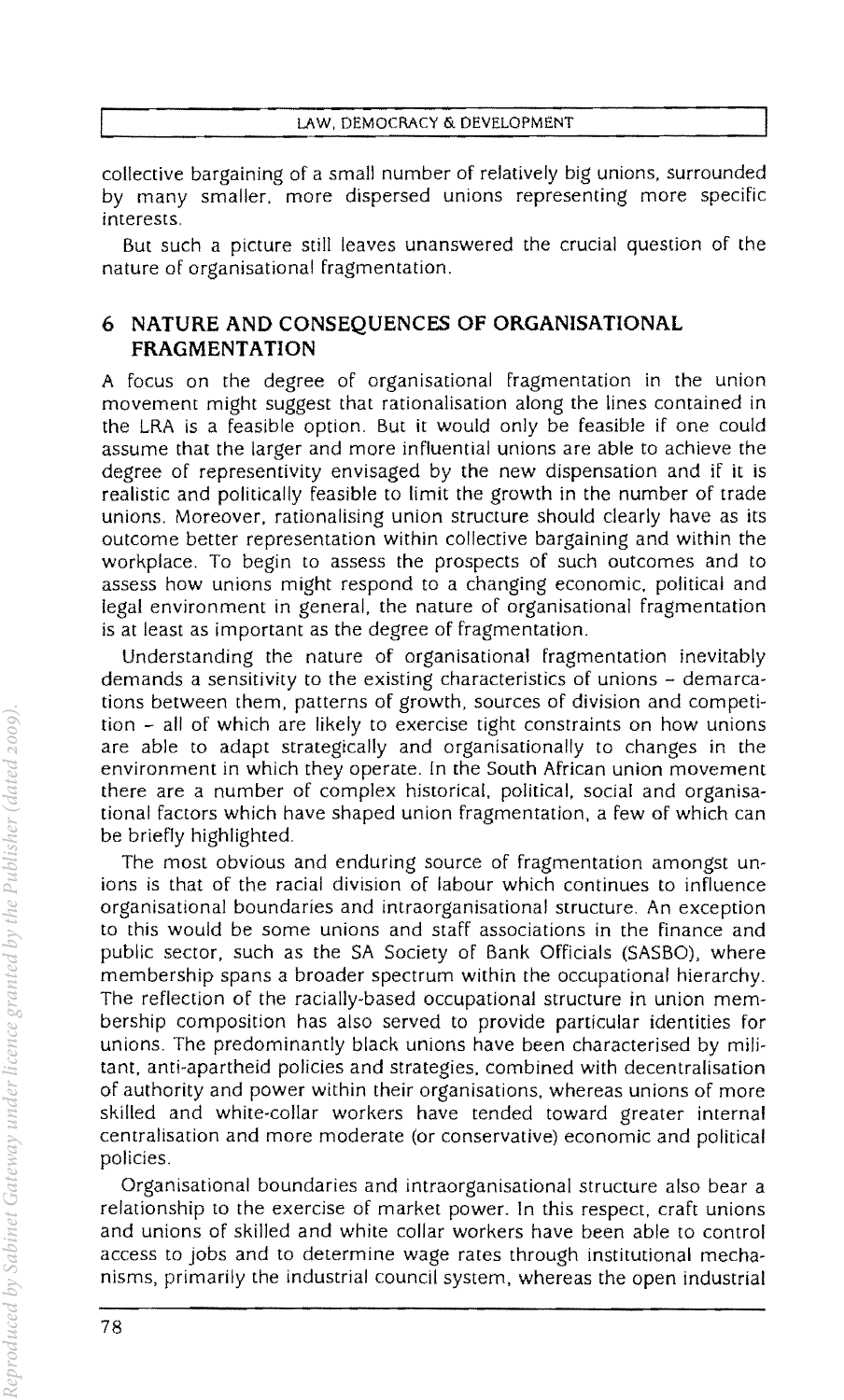collective bargaining of a small number of relatively big unions, surrounded by many smaller. more dispersed unions representing more specific interests,

But such a picture still leaves unanswered the crucial question of the nature of organisational fragmentation.

## **6 NATURE AND CONSEQUENCES OF ORGANISATIONAL FRAGMENT ATION**

A focus on the degree of organisational fragmentation in the union movement might suggest that rationalisation along the lines contained in the LRA is a feasible option. But it would only be feasible if one could assume that the larger and more influential unions are able to achieve the degree of representivity enVisaged by the new dispensation and if **it** is realistic and politically feasible to limit the growth in the number of trade unions, Moreover, rationalising union structure should clearly have as its outcome better representation within collective bargaining and within the workplace. To begin to assess the prospects of such outcomes and to assess how unions might respond to a changing economic. political and legal environment in general, the nature of organisational fragmentation is at least as important as the degree of fragmentation,

Understanding the nature of organisational fragmentation inevitably demands a sensitivity to the existing characteristics of unions - demarcations between them, patterns of growth. sources of division and competition - all of which are likely to exercise tight constraints on how unions are able to adapt strategically and organisationally to Changes in the environment in which they operate, In the South African union movement there are a number of complex historical. political, social and organisational factors which have shaped union fragmentation, a few of which can be briefly highlighted,

The most obvious and enduring source of fragmentation amongst unions is that of the racial division of labour which continues to influence organisational boundaries and intraorganisational structure, An exception to this would be some unions and staff associations in the finance and public sector. such as the SA Society of Bank Officials (SASBO). where membership spans a broader spectrum within the occupational hierarchy, The reflection of the racially-based occupational structure in union membership composition has also served to provide particular identities for unions. The predominantly black unions have been characterised by militant. anti-apartheid policies and strategies. combined with decentralisation of authority and power within their organisations. whereas unions of more skilled and white-collar workers have tended toward greater internal centralisation and more moderate (or conservative) economic and political policies,

Organisational boundaries and intraorganisational structure also bear a relationship to the exercise of market power. In this respect. craft unions and unions of skilled and white collar workers have been able to control access to jobs and to determine wage rates through institutional mechanisms, primarily the industrial council system. whereas the open industrial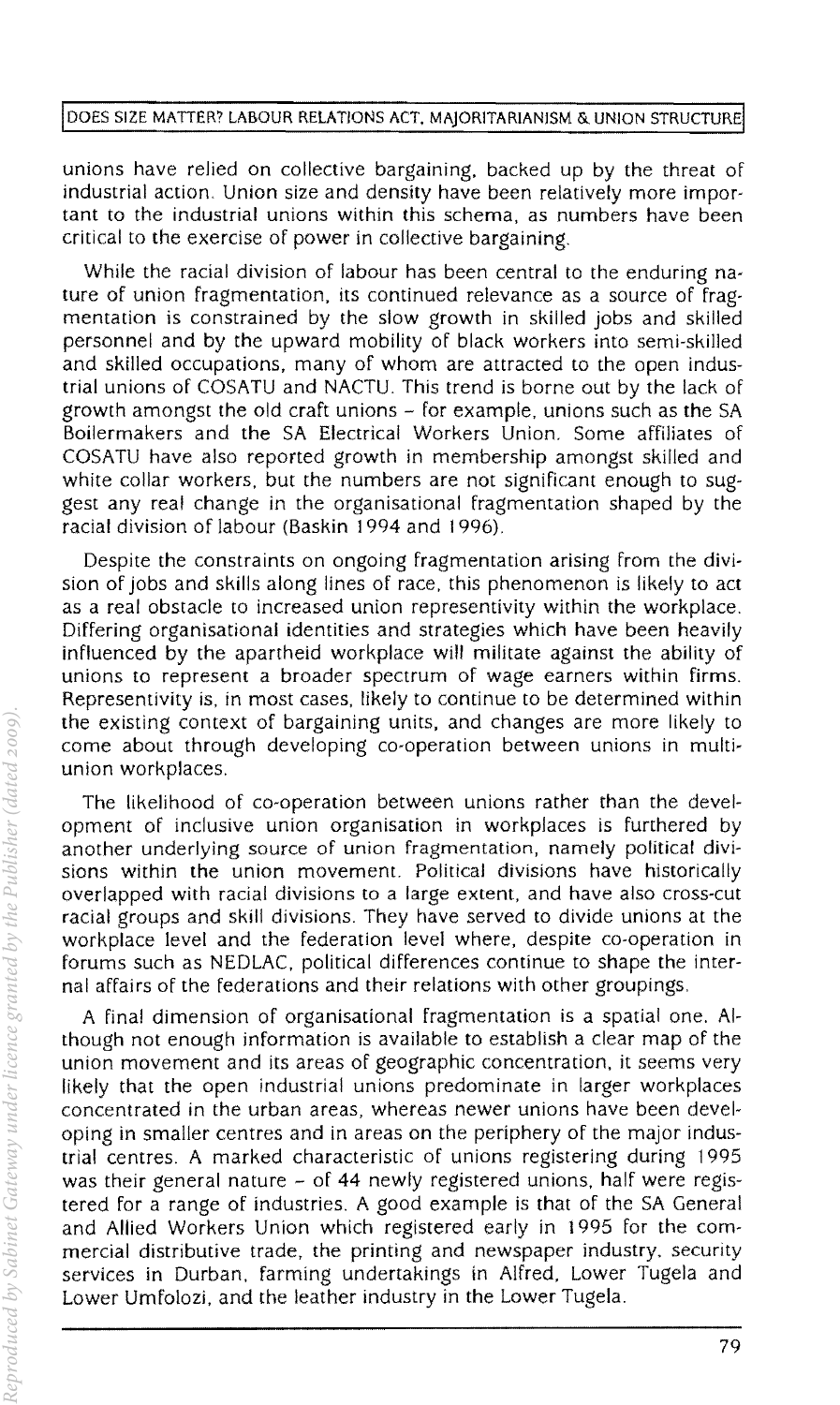#### DOES SIZE MATTER? LABOUR RELATIONS ACT, MAJORITARIANISM & UNION STRUCTURE

unions have relied on collective bargaining, backed up by the threat of industrial action. Union size and density have been relatively more important to the industrial unions within this schema. as numbers have been critical to the exercise of power in collective bargaining.

While the racial division of labour has been central to the enduring nature of union fragmentation. its continued relevance as a source of fragmentation is constrained by the slow growth in skilled jobs and skilled personnel and by the upward mobility of black workers into semi-skilled and skilled occupations. many of whom are attracted to the open industrial unions of COSATU and NACTU. This trend is borne out by the lack of growth amongst the old craft unions  $\sim$  for example, unions such as the SA Boilermakers and the SA Electrical Workers Union. Some affiliates of COSA TU have also reponed growth in membership amongst skilled and white collar workers, but the numbers are not significant enough to suggest any real change in the organisational fragmentation shaped by the racial division of labour (Baskin 1994 and 1996).

Despite the constraints on ongoing fragmentation arising from the division of jobs and skills along lines of race. this phenomenon is likely to act as a real obstacle to increased union representivity within the workplace. Differing organisational identities and strategies which have been heavily influenced by the apartheid workplace will militate against the ability of unions to represent a broader spectrum of wage earners within firms. Representivity is. in most cases. likely to continue to be determined within the existing context of bargaining units. and changes are more likely to come about through developing co-operation between unions in multiunion workplaces.

The likelihood of co-operation between unions rather than the development of inclusive union organisation in workplaces is furthered by another underlying source of union fragmentation. namely political divisions within the union movement. Political divisions have historically overlapped with racial divisions to a large extent. and have also cross-cut racial groups and skill divisions. They have served to divide unions at the workplace level and the federation level where. despite co-operation in forums such as NEDLAC. political differences continue to shape the internal affairs of the federations and their relations with other groupings.

A final dimension of organisational fragmentation is a spatial one. Although not enough information is available to establish a clear map of the union movement and its areas of geographic concentration, it seems very likely that the open industrial unions predominate in larger workplaces concentrated in the urban areas. whereas newer unions have been developing in smaller centres and in areas on the periphery of the major industrial centres. A marked characteristic of unions registering during 1995 was their general nature - of 44 newly registered unions, half were registered for a range of industries. A good example is that of the SA General and Allied Workers Union which registered early in 1995 for the commercial distributive trade. the printing and newspaper industry, security services in Durban. farming undertakings in Alfred. Lower Tugela and Lower Umfolozi. and the leather industry in the Lower Tugela.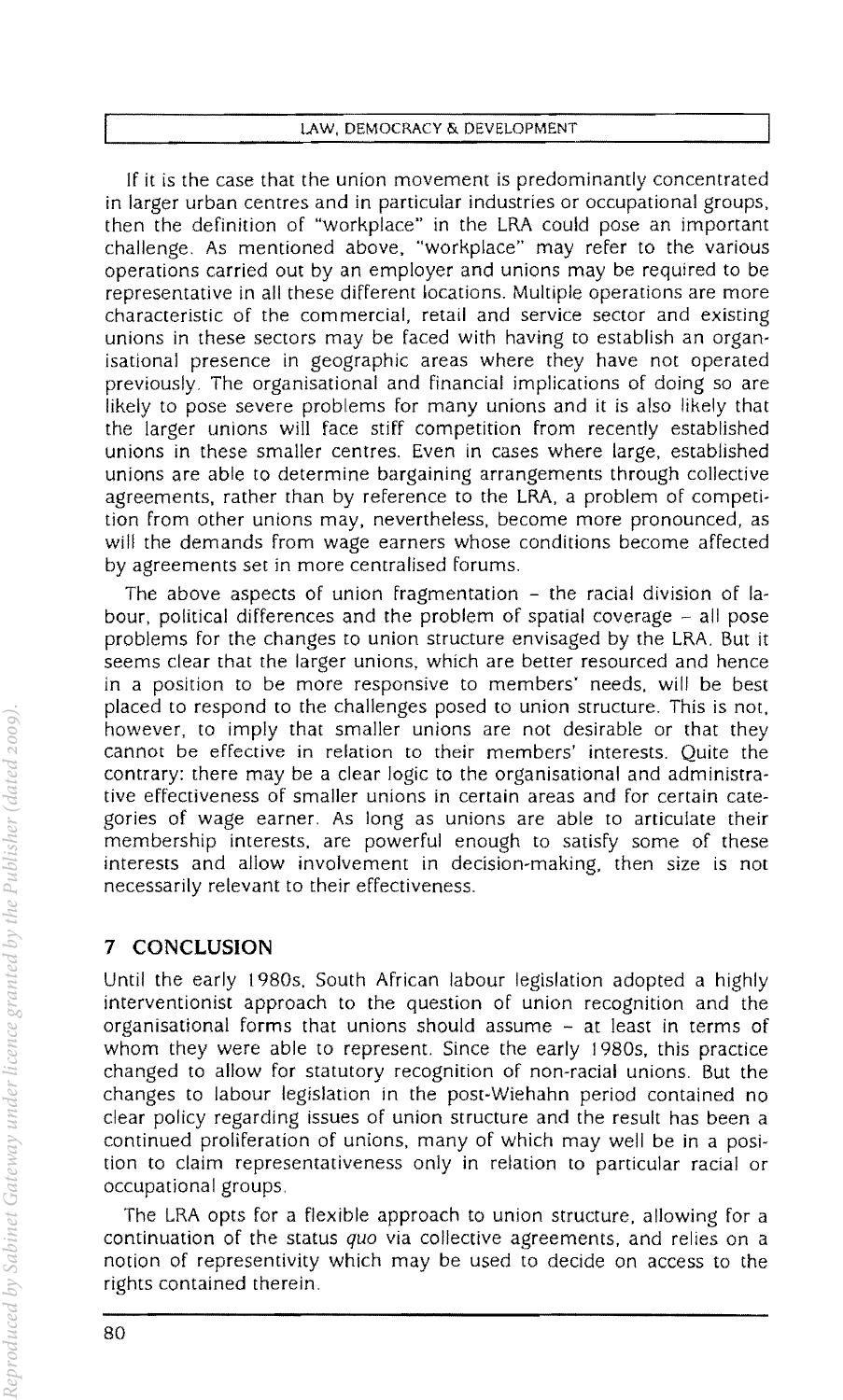|  |  | LAW, DEMOCRACY & DEVELOPMENT |  |
|--|--|------------------------------|--|
|  |  |                              |  |

If it is the case that the union movement is predominantly concentrated in larger urban centres and in particular industries or occupational groups, then the definition of "workplace" in the LRA could pose an important challenge. As mentioned above, "workplace" may refer to the various operations carried out by an employer and unions may be required to be representative in all these different locations. Multiple operations are more characteristic of the commercial. retail and service sector and existing unions in these sectors may be faced with having to establish an organisational presence in geographic areas where they have not operated previously. The organisational and financial implications of doing so are likely to pose severe problems for many unions and it is also likely that the larger unions will face stiff competition from recently established unions in these smaller centres. Even in cases where large, established unions are able to determine bargaining arrangements through collective agreements. rather than by reference to the LRA. a problem of competition from other unions may. nevertheless, become more pronounced. as will the demands from wage earners whose conditions become affected by agreements set in more centralised forums.

The above aspects of union fragmentation - the racial division of labour, political differences and the problem of spatial coverage  $-$  all pose problems for the changes to union structure envisaged by the LRA. But it seems clear that the larger unions. which are better resourced and hence in a position to be more responsive to members' needs. will be best placed to respond to the Challenges posed to union structure. This is not. however, to imply that smaller unions are not desirable or that they cannot be effective in relation to their members' interests. Quite the contrary: there may be a clear logic to the organisational and administrative effectiveness of smaller unions in certain areas and for certain categories of wage earner. As long as unions are able to articulate their membership interests. are powerful enough to satisfy some of these interests and allow involvement in decision-making. then size is not necessarily relevant to their effectiveness.

# **7 CONCLUSION**

Until the early 1980s. South African labour legislation adopted a highly interventionist approach to the question of union recognition and the organisational forms that unions should assume  $-$  at least in terms of whom they were able to represent. Since the early 1980s, this practice changed to allow for statutory recognition of non-racial unions. But the changes to labour legislation in the post-Wiehahn period contained no clear policy regarding issues of union structure and the result has been a continued proliferation of unions. many of which may well be in a position to claim representativeness only in relation to particular racial or occupational groups.

The LRA opts for a flexible approach to union structure. allowing for a continuation of the status *quo* via collective agreements. and relies on a notion of representivity which may be used to decide on access to the rights contained therein.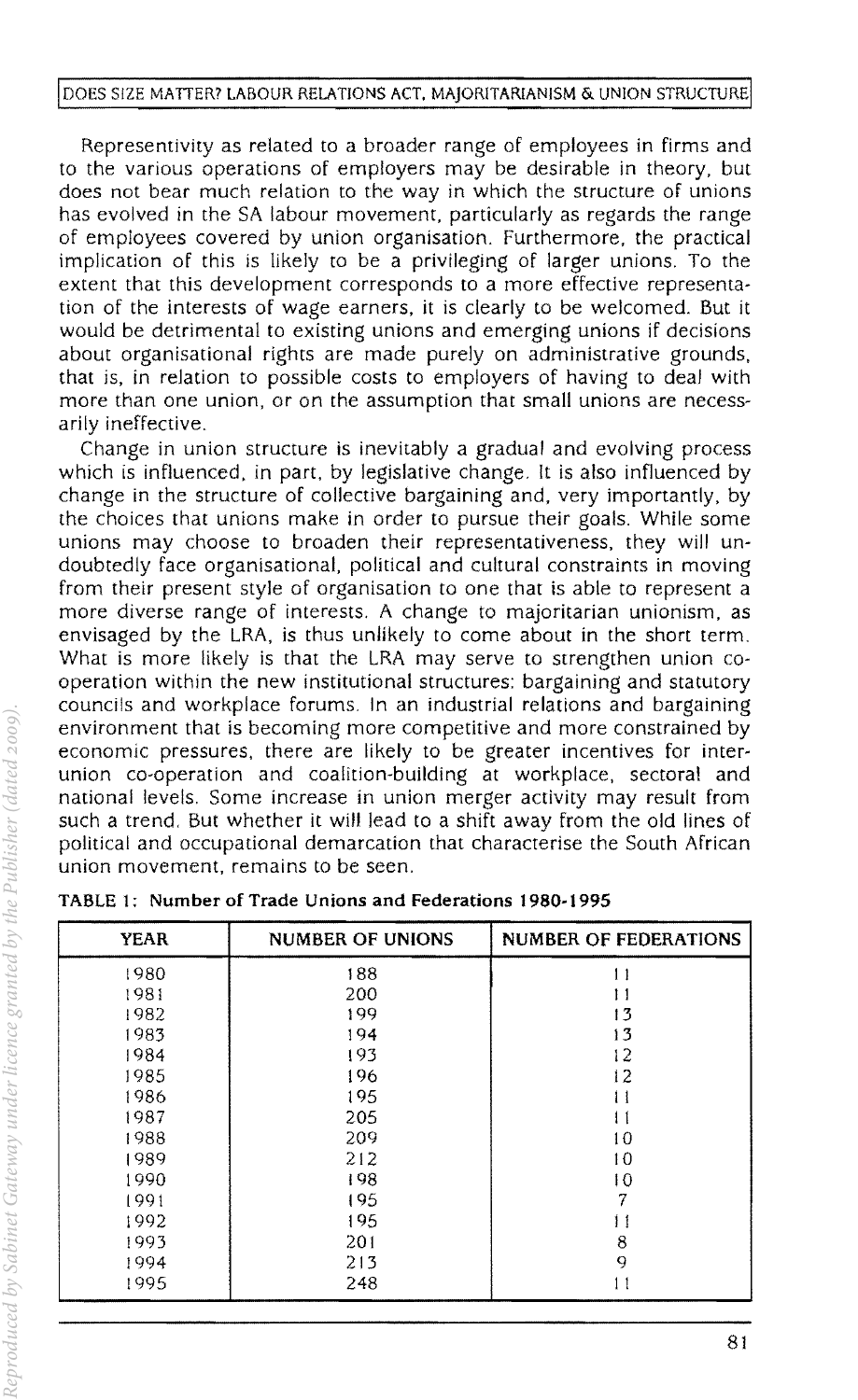Representivity as related to a broader range of employees in firms and to the various operations of employers may be desirable in theory, but does not bear much relation to the way in which the structure of unions has evolved in the SA labour movement, particularly as regards the range of employees covered by union organisation. Furthermore, the practical implication of this is likely to be a privileging of larger unions. To the extent that this development corresponds to a more effective representation of the interests of wage earners, it is clearly to be welcomed. But it would be detrimental to existing unions and emerging unions if decisions about organisational rights are made purely on administrative grounds, that is, in relation to possible costs to employers of having to deal with more than one union, or on the assumption that small unions are necessarily ineffective.

Change in union structure is inevitably a gradual and evolving process which is influenced, in part, by legislative change. It is also influenced by change in the structure of collective bargaining and, very importantly, by the choices that unions make in order to pursue their goals. While some unions may choose to broaden their representativeness, they will undoubtedly face organisational, political and cultural constraints in moving from their present style of organisation to one that is able to represent a more diverse range of interests. A change to majoritarian unionism, as enVisaged by the LRA, is thus unlikely to come about in the short term. What is more likely is that the LRA may serve to strengthen union cooperation within the new institutional structures: bargaining and statutory councils and workplace forums. In an industrial relations and bargaining environment that is becoming more competitive and more constrained by economic pressures, there are likely to be greater incentives for interunion co-operation and coalition-building at workplace, sectoral and national levels. Some increase in union merger activity may result from such a trend. But whether it will lead to a shift away from the old lines of political and occupational demarcation that characterise the South African union movement, remains to be seen.

| <b>YEAR</b> | <b>NUMBER OF UNIONS</b> | <b>NUMBER OF FEDERATIONS</b> |
|-------------|-------------------------|------------------------------|
| 1980        | 188                     | 11                           |
| 1981        | 200                     | 11                           |
| 1982        | 199                     | 13                           |
| 1983        | 194                     | 13                           |
| 1984        | 193                     | 12                           |
| 1985        | 196                     | 12                           |
| 1986        | 195                     | 11                           |
| 1987        | 205                     | 11                           |
| 1988        | 209                     | 10                           |
| 1989        | 212                     | 10                           |
| 1990        | 198                     | 10                           |
| 1991        | 195                     | 7                            |
| 1992        | 195                     | 11                           |
| 1993        | 201                     | 8                            |
| 1994        | 213                     | 9                            |
| 1995        | 248                     | 11                           |

TABLE 1; Number of Trade Unions and Federations 1980-1995